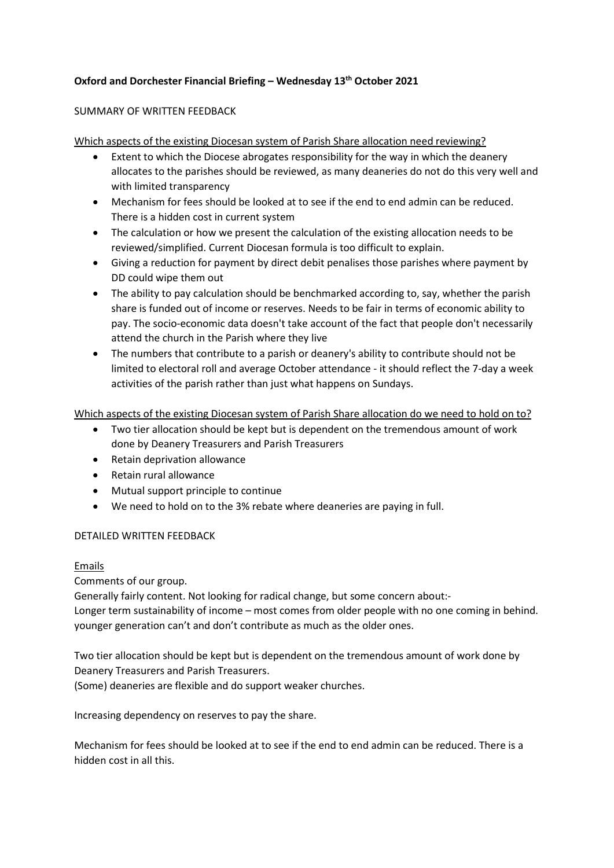# Oxford and Dorchester Financial Briefing – Wednesday 13th October 2021

### SUMMARY OF WRITTEN FEEDBACK

Which aspects of the existing Diocesan system of Parish Share allocation need reviewing?

- Extent to which the Diocese abrogates responsibility for the way in which the deanery allocates to the parishes should be reviewed, as many deaneries do not do this very well and with limited transparency
- Mechanism for fees should be looked at to see if the end to end admin can be reduced. There is a hidden cost in current system
- The calculation or how we present the calculation of the existing allocation needs to be reviewed/simplified. Current Diocesan formula is too difficult to explain.
- Giving a reduction for payment by direct debit penalises those parishes where payment by DD could wipe them out
- The ability to pay calculation should be benchmarked according to, say, whether the parish share is funded out of income or reserves. Needs to be fair in terms of economic ability to pay. The socio-economic data doesn't take account of the fact that people don't necessarily attend the church in the Parish where they live
- The numbers that contribute to a parish or deanery's ability to contribute should not be limited to electoral roll and average October attendance - it should reflect the 7-day a week activities of the parish rather than just what happens on Sundays.

Which aspects of the existing Diocesan system of Parish Share allocation do we need to hold on to?

- Two tier allocation should be kept but is dependent on the tremendous amount of work done by Deanery Treasurers and Parish Treasurers
- Retain deprivation allowance
- Retain rural allowance
- Mutual support principle to continue
- We need to hold on to the 3% rebate where deaneries are paying in full.

## DETAILED WRITTEN FEEDBACK

### Emails

Comments of our group.

Generally fairly content. Not looking for radical change, but some concern about:- Longer term sustainability of income – most comes from older people with no one coming in behind. younger generation can't and don't contribute as much as the older ones.

Two tier allocation should be kept but is dependent on the tremendous amount of work done by Deanery Treasurers and Parish Treasurers.

(Some) deaneries are flexible and do support weaker churches.

Increasing dependency on reserves to pay the share.

Mechanism for fees should be looked at to see if the end to end admin can be reduced. There is a hidden cost in all this.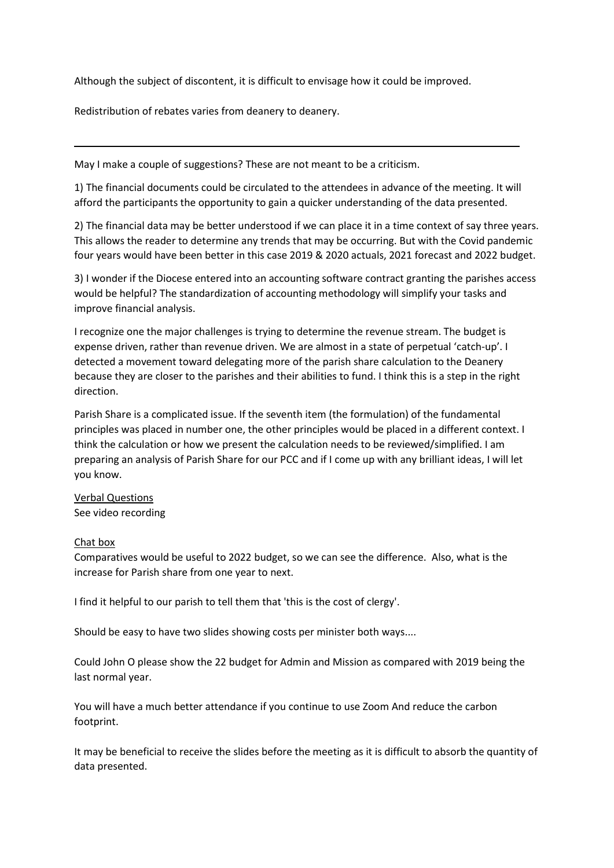Although the subject of discontent, it is difficult to envisage how it could be improved.

Redistribution of rebates varies from deanery to deanery.

May I make a couple of suggestions? These are not meant to be a criticism.

1) The financial documents could be circulated to the attendees in advance of the meeting. It will afford the participants the opportunity to gain a quicker understanding of the data presented.

2) The financial data may be better understood if we can place it in a time context of say three years. This allows the reader to determine any trends that may be occurring. But with the Covid pandemic four years would have been better in this case 2019 & 2020 actuals, 2021 forecast and 2022 budget.

3) I wonder if the Diocese entered into an accounting software contract granting the parishes access would be helpful? The standardization of accounting methodology will simplify your tasks and improve financial analysis.

I recognize one the major challenges is trying to determine the revenue stream. The budget is expense driven, rather than revenue driven. We are almost in a state of perpetual 'catch-up'. I detected a movement toward delegating more of the parish share calculation to the Deanery because they are closer to the parishes and their abilities to fund. I think this is a step in the right direction.

Parish Share is a complicated issue. If the seventh item (the formulation) of the fundamental principles was placed in number one, the other principles would be placed in a different context. I think the calculation or how we present the calculation needs to be reviewed/simplified. I am preparing an analysis of Parish Share for our PCC and if I come up with any brilliant ideas, I will let you know.

Verbal Questions See video recording

### Chat box

 $\overline{a}$ 

Comparatives would be useful to 2022 budget, so we can see the difference. Also, what is the increase for Parish share from one year to next.

I find it helpful to our parish to tell them that 'this is the cost of clergy'.

Should be easy to have two slides showing costs per minister both ways....

Could John O please show the 22 budget for Admin and Mission as compared with 2019 being the last normal year.

You will have a much better attendance if you continue to use Zoom And reduce the carbon footprint.

It may be beneficial to receive the slides before the meeting as it is difficult to absorb the quantity of data presented.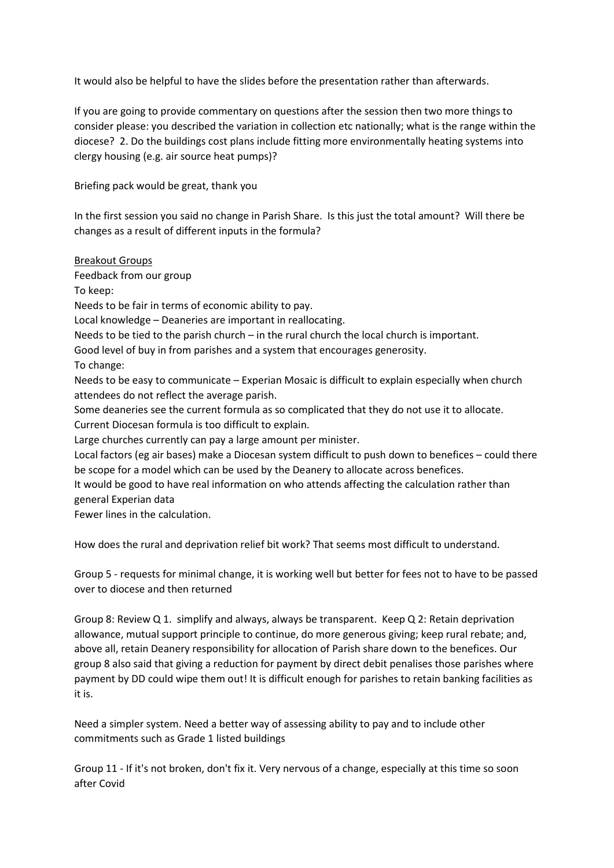It would also be helpful to have the slides before the presentation rather than afterwards.

If you are going to provide commentary on questions after the session then two more things to consider please: you described the variation in collection etc nationally; what is the range within the diocese? 2. Do the buildings cost plans include fitting more environmentally heating systems into clergy housing (e.g. air source heat pumps)?

Briefing pack would be great, thank you

In the first session you said no change in Parish Share. Is this just the total amount? Will there be changes as a result of different inputs in the formula?

Breakout Groups

Feedback from our group

To keep:

Needs to be fair in terms of economic ability to pay.

Local knowledge – Deaneries are important in reallocating.

Needs to be tied to the parish church – in the rural church the local church is important.

Good level of buy in from parishes and a system that encourages generosity.

To change:

Needs to be easy to communicate – Experian Mosaic is difficult to explain especially when church attendees do not reflect the average parish.

Some deaneries see the current formula as so complicated that they do not use it to allocate. Current Diocesan formula is too difficult to explain.

Large churches currently can pay a large amount per minister.

Local factors (eg air bases) make a Diocesan system difficult to push down to benefices – could there be scope for a model which can be used by the Deanery to allocate across benefices.

It would be good to have real information on who attends affecting the calculation rather than general Experian data

Fewer lines in the calculation.

How does the rural and deprivation relief bit work? That seems most difficult to understand.

Group 5 - requests for minimal change, it is working well but better for fees not to have to be passed over to diocese and then returned

Group 8: Review Q 1. simplify and always, always be transparent. Keep Q 2: Retain deprivation allowance, mutual support principle to continue, do more generous giving; keep rural rebate; and, above all, retain Deanery responsibility for allocation of Parish share down to the benefices. Our group 8 also said that giving a reduction for payment by direct debit penalises those parishes where payment by DD could wipe them out! It is difficult enough for parishes to retain banking facilities as it is.

Need a simpler system. Need a better way of assessing ability to pay and to include other commitments such as Grade 1 listed buildings

Group 11 - If it's not broken, don't fix it. Very nervous of a change, especially at this time so soon after Covid